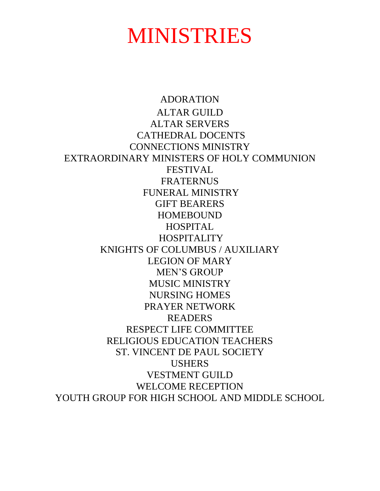# MINISTRIES

ADORATION ALTAR GUILD ALTAR SERVERS CATHEDRAL DOCENTS CONNECTIONS MINISTRY EXTRAORDINARY MINISTERS OF HOLY COMMUNION FESTIVAL FRATERNUS FUNERAL MINISTRY GIFT BEARERS HOMEBOUND HOSPITAL HOSPITALITY KNIGHTS OF COLUMBUS / AUXILIARY LEGION OF MARY MEN'S GROUP MUSIC MINISTRY NURSING HOMES PRAYER NETWORK READERS RESPECT LIFE COMMITTEE RELIGIOUS EDUCATION TEACHERS ST. VINCENT DE PAUL SOCIETY USHERS VESTMENT GUILD WELCOME RECEPTION YOUTH GROUP FOR HIGH SCHOOL AND MIDDLE SCHOOL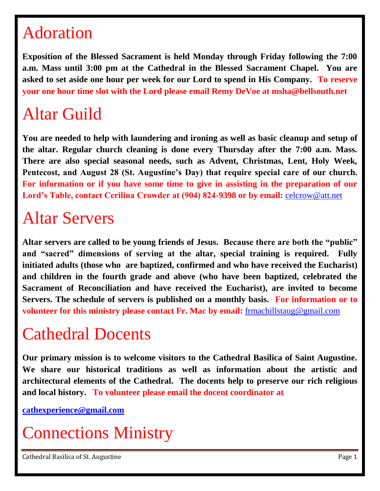### Adoration

**Exposition of the Blessed Sacrament is held Monday through Friday following the 7:00 a.m. Mass until 3:00 pm at the Cathedral in the Blessed Sacrament Chapel. You are asked to set aside one hour per week for our Lord to spend in His Company. To reserve your one hour time slot with the Lord please email Remy DeVoe at msha@bellsouth.net**

# Altar Guild

**You are needed to help with laundering and ironing as well as basic cleanup and setup of the altar. Regular church cleaning is done every Thursday after the 7:00 a.m. Mass. There are also special seasonal needs, such as Advent, Christmas, Lent, Holy Week, Pentecost, and August 28 (St. Augustine's Day) that require special care of our church. For information or if you have some time to give in assisting in the preparation of our Lord's Table, contact Cerilina Crowder at (904) 824-9398 or by email:** [celcrow@att.net](mailto:celcrow@att.net)

## Altar Servers

**Altar servers are called to be young friends of Jesus. Because there are both the "public" and "sacred" dimensions of serving at the altar, special training is required. Fully initiated adults (those who are baptized, confirmed and who have received the Eucharist) and children in the fourth grade and above (who have been baptized, celebrated the Sacrament of Reconciliation and have received the Eucharist), are invited to become Servers. The schedule of servers is published on a monthly basis. For information or to volunteer for this ministry please contact Fr. Mac by email:** [frmachillstaug@gmail.com](mailto:frmachillstaug@gmail.com)

### Cathedral Docents

**Our primary mission is to welcome visitors to the Cathedral Basilica of Saint Augustine. We share our historical traditions as well as information about the artistic and architectural elements of the Cathedral. The docents help to preserve our rich religious and local history. To volunteer please email the docent coordinator at**

**[cathexperience@gmail.com](mailto:cathexperience@gmail.com)**

Connections Ministry

Cathedral Basilica of St. Augustine **Page 1**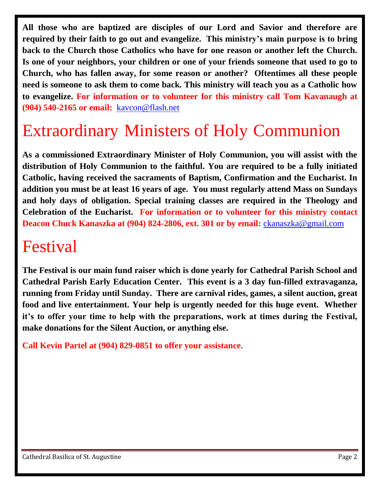**All those who are baptized are disciples of our Lord and Savior and therefore are required by their faith to go out and evangelize. This ministry's main purpose is to bring back to the Church those Catholics who have for one reason or another left the Church. Is one of your neighbors, your children or one of your friends someone that used to go to Church, who has fallen away, for some reason or another? Oftentimes all these people need is someone to ask them to come back. This ministry will teach you as a Catholic how to evangelize. For information or to volunteer for this ministry call Tom Kavanaugh at (904) 540-2165 or email:** [kavcon@flash.net](mailto:kavcon@flash.net) 

# Extraordinary Ministers of Holy Communion

**As a commissioned Extraordinary Minister of Holy Communion, you will assist with the distribution of Holy Communion to the faithful. You are required to be a fully initiated Catholic, having received the sacraments of Baptism, Confirmation and the Eucharist. In addition you must be at least 16 years of age. You must regularly attend Mass on Sundays and holy days of obligation. Special training classes are required in the Theology and Celebration of the Eucharist. For information or to volunteer for this ministry contact Deacon Chuck Kanaszka at (904) 824-2806, ext. 301 or by email:** [ckanaszka@gmail.com](mailto:ckanaszka@gmail.com) 

#### Festival

**The Festival is our main fund raiser which is done yearly for Cathedral Parish School and Cathedral Parish Early Education Center. This event is a 3 day fun-filled extravaganza, running from Friday until Sunday. There are carnival rides, games, a silent auction, great food and live entertainment. Your help is urgently needed for this huge event. Whether it's to offer your time to help with the preparations, work at times during the Festival, make donations for the Silent Auction, or anything else.** 

**Call Kevin Partel at (904) 829-0851 to offer your assistance.**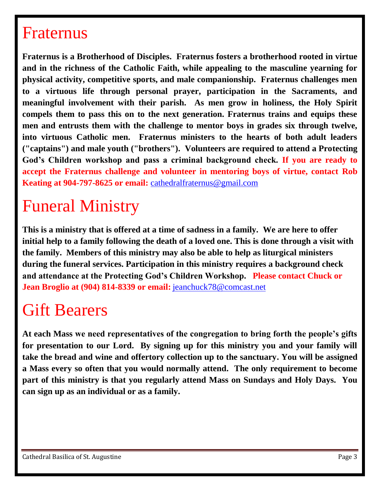#### Fraternus

**Fraternus is a Brotherhood of Disciples. Fraternus fosters a brotherhood rooted in virtue and in the richness of the Catholic Faith, while appealing to the masculine yearning for physical activity, competitive sports, and male companionship. Fraternus challenges men to a virtuous life through personal prayer, participation in the Sacraments, and meaningful involvement with their parish. As men grow in holiness, the Holy Spirit compels them to pass this on to the next generation. Fraternus trains and equips these men and entrusts them with the challenge to mentor boys in grades six through twelve, into virtuous Catholic men. Fraternus ministers to the hearts of both adult leaders ("captains") and male youth ("brothers"). Volunteers are required to attend a Protecting God's Children workshop and pass a criminal background check. If you are ready to accept the Fraternus challenge and volunteer in mentoring boys of virtue, contact Rob Keating at 904-797-8625 or email:** [cathedralfraternus@gmail.com](mailto:cathedralfraternus@gmail.com)

# Funeral Ministry

**This is a ministry that is offered at a time of sadness in a family. We are here to offer initial help to a family following the death of a loved one. This is done through a visit with the family. Members of this ministry may also be able to help as liturgical ministers during the funeral services. Participation in this ministry requires a background check and attendance at the Protecting God's Children Workshop. Please contact Chuck or Jean Broglio at (904) 814-8339 or email:** [jeanchuck78@comcast.net](mailto:jeanchuck78@comcast.net)

### Gift Bearers

**At each Mass we need representatives of the congregation to bring forth the people's gifts for presentation to our Lord. By signing up for this ministry you and your family will take the bread and wine and offertory collection up to the sanctuary. You will be assigned a Mass every so often that you would normally attend. The only requirement to become part of this ministry is that you regularly attend Mass on Sundays and Holy Days. You can sign up as an individual or as a family.**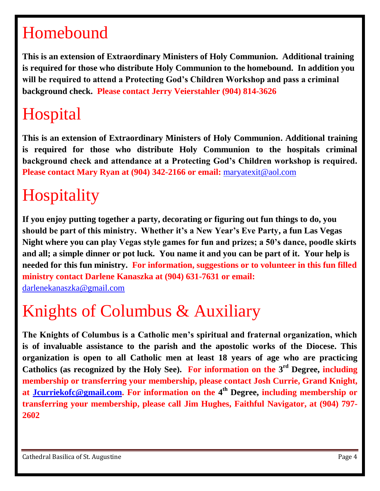# Homebound

**This is an extension of Extraordinary Ministers of Holy Communion. Additional training is required for those who distribute Holy Communion to the homebound. In addition you will be required to attend a Protecting God's Children Workshop and pass a criminal background check. Please contact Jerry Veierstahler (904) 814-3626**

# **Hospital**

**This is an extension of Extraordinary Ministers of Holy Communion. Additional training is required for those who distribute Holy Communion to the hospitals criminal background check and attendance at a Protecting God's Children workshop is required. Please contact Mary Ryan at (904) 342-2166 or email:** [maryatexit@aol.com](mailto:maryatexit@aol.com) 

# **Hospitality**

**If you enjoy putting together a party, decorating or figuring out fun things to do, you should be part of this ministry. Whether it's a New Year's Eve Party, a fun Las Vegas Night where you can play Vegas style games for fun and prizes; a 50's dance, poodle skirts and all; a simple dinner or pot luck. You name it and you can be part of it. Your help is needed for this fun ministry. For information, suggestions or to volunteer in this fun filled ministry contact Darlene Kanaszka at (904) 631-7631 or email:** 

[darlenekanaszka@gmail.com](mailto:darlenekanaszka@gmail.com)

# Knights of Columbus & Auxiliary

**The Knights of Columbus is a Catholic men's spiritual and fraternal organization, which is of invaluable assistance to the parish and the apostolic works of the Diocese. This organization is open to all Catholic men at least 18 years of age who are practicing Catholics (as recognized by the Holy See). For information on the 3 rd Degree, including membership or transferring your membership, please contact Josh Currie, Grand Knight, at [Jcurriekofc@gmail.com.](mailto:Jcurriekofc@gmail.com) For information on the 4 th Degree, including membership or transferring your membership, please call Jim Hughes, Faithful Navigator, at (904) 797- 2602**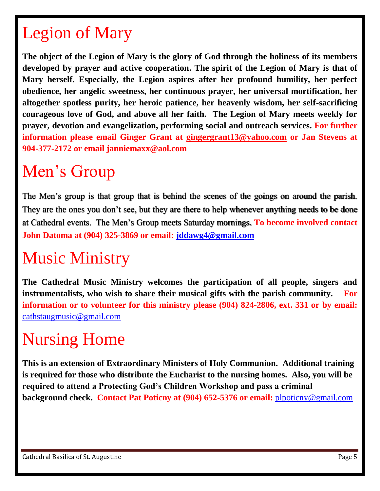# Legion of Mary

**The object of the Legion of Mary is the glory of God through the holiness of its members developed by prayer and active cooperation. The spirit of the Legion of Mary is that of Mary herself. Especially, the Legion aspires after her profound humility, her perfect obedience, her angelic sweetness, her continuous prayer, her universal mortification, her altogether spotless purity, her heroic patience, her heavenly wisdom, her self-sacrificing courageous love of God, and above all her faith. The Legion of Mary meets weekly for prayer, devotion and evangelization, performing social and outreach services. For further information please email Ginger Grant at [gingergrant13@yahoo.com](mailto:gingergrant13@yahoo.com) or Jan Stevens at 904-377-2172 or email janniemaxx@aol.com**

## Men's Group

The Men's group is that group that is behind the scenes of the goings on around the parish. They are the ones you don't see, but they are there to help whenever anything needs to be done at Cathedral events. The Men's Group meets Saturday mornings. **To become involved contact John Datoma at (904) 325-3869 or email: [jddawg4@gmail.com](mailto:jddawg4@gmail.com)** 

# Music Ministry

**The Cathedral Music Ministry welcomes the participation of all people, singers and instrumentalists, who wish to share their musical gifts with the parish community. For information or to volunteer for this ministry please (904) 824-2806, ext. 331 or by email:**  [cathstaugmusic@gmail.com](mailto:cathstaugmusic@gmail.com)

# Nursing Home

**This is an extension of Extraordinary Ministers of Holy Communion. Additional training is required for those who distribute the Eucharist to the nursing homes. Also, you will be required to attend a Protecting God's Children Workshop and pass a criminal background check. Contact Pat Poticny at (904) 652-5376 or email:** [plpoticny@gmail.com](mailto:plpoticny@gmail.com)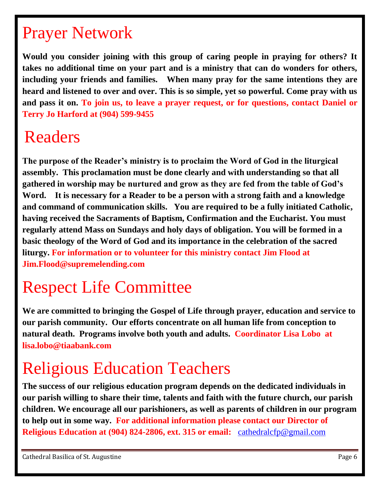# Prayer Network

**Would you consider joining with this group of caring people in praying for others? It takes no additional time on your part and is a ministry that can do wonders for others, including your friends and families. When many pray for the same intentions they are heard and listened to over and over. This is so simple, yet so powerful. Come pray with us and pass it on. To join us, to leave a prayer request, or for questions, contact Daniel or Terry Jo Harford at (904) 599-9455** 

### Readers

**The purpose of the Reader's ministry is to proclaim the Word of God in the liturgical assembly. This proclamation must be done clearly and with understanding so that all gathered in worship may be nurtured and grow as they are fed from the table of God's Word. It is necessary for a Reader to be a person with a strong faith and a knowledge and command of communication skills. You are required to be a fully initiated Catholic, having received the Sacraments of Baptism, Confirmation and the Eucharist. You must regularly attend Mass on Sundays and holy days of obligation. You will be formed in a basic theology of the Word of God and its importance in the celebration of the sacred liturgy. For information or to volunteer for this ministry contact Jim Flood at Jim.Flood@supremelending.com**

# Respect Life Committee

**We are committed to bringing the Gospel of Life through prayer, education and service to our parish community. Our efforts concentrate on all human life from conception to natural death. Programs involve both youth and adults. Coordinator Lisa Lobo at lisa.lobo@tiaabank.com**

# Religious Education Teachers

**The success of our religious education program depends on the dedicated individuals in our parish willing to share their time, talents and faith with the future church, our parish children. We encourage all our parishioners, as well as parents of children in our program to help out in some way. For additional information please contact our Director of Religious Education at (904) 824-2806, ext. 315 or email:** [cathedralcfp@gmail.com](mailto:cathedralcfp@gmail.com)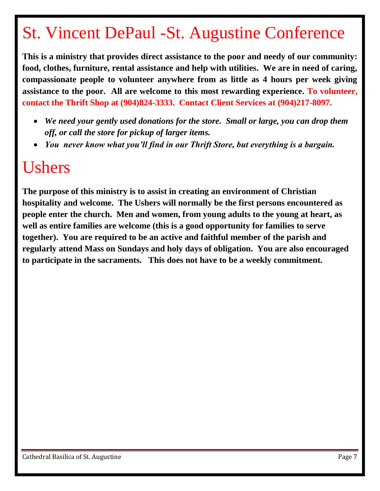# St. Vincent DePaul -St. Augustine Conference

**This is a ministry that provides direct assistance to the poor and needy of our community: food, clothes, furniture, rental assistance and help with utilities. We are in need of caring, compassionate people to volunteer anywhere from as little as 4 hours per week giving assistance to the poor. All are welcome to this most rewarding experience. To volunteer, contact the Thrift Shop at (904)824-3333. Contact Client Services at (904)217-8097.** 

- *We need your gently used donations for the store. Small or large, you can drop them off, or call the store for pickup of larger items.*
- *You never know what you'll find in our Thrift Store, but everything is a bargain.*

#### Ushers

**The purpose of this ministry is to assist in creating an environment of Christian hospitality and welcome. The Ushers will normally be the first persons encountered as people enter the church. Men and women, from young adults to the young at heart, as well as entire families are welcome (this is a good opportunity for families to serve together). You are required to be an active and faithful member of the parish and regularly attend Mass on Sundays and holy days of obligation. You are also encouraged to participate in the sacraments. This does not have to be a weekly commitment.**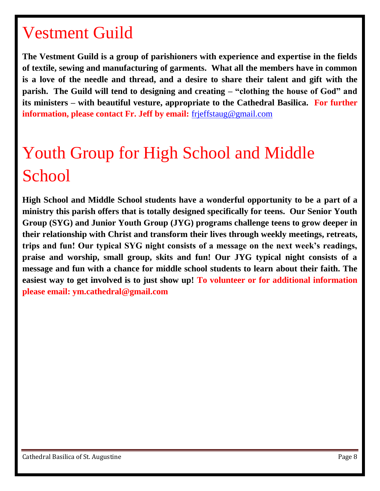#### Vestment Guild

**The Vestment Guild is a group of parishioners with experience and expertise in the fields of textile, sewing and manufacturing of garments. What all the members have in common is a love of the needle and thread, and a desire to share their talent and gift with the parish. The Guild will tend to designing and creating – "clothing the house of God" and its ministers – with beautiful vesture, appropriate to the Cathedral Basilica. For further information, please contact Fr. Jeff by email:** [frjeffstaug@gmail.com](mailto:frjeffstaug@gmail.com)

# Youth Group for High School and Middle **School**

**High School and Middle School students have a wonderful opportunity to be a part of a ministry this parish offers that is totally designed specifically for teens. Our Senior Youth Group (SYG) and Junior Youth Group (JYG) programs challenge teens to grow deeper in their relationship with Christ and transform their lives through weekly meetings, retreats, trips and fun! Our typical SYG night consists of a message on the next week's readings, praise and worship, small group, skits and fun! Our JYG typical night consists of a message and fun with a chance for middle school students to learn about their faith. The easiest way to get involved is to just show up! To volunteer or for additional information please email: ym.cathedral@gmail.com**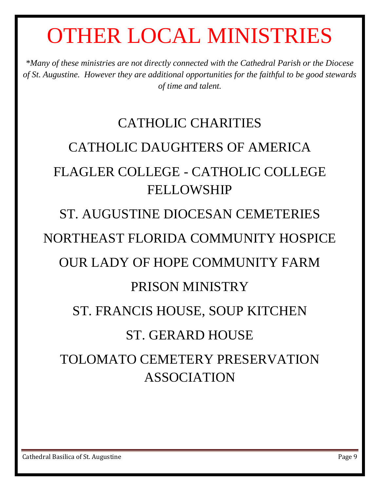# OTHER LOCAL MINISTRIES

*\*Many of these ministries are not directly connected with the Cathedral Parish or the Diocese of St. Augustine. However they are additional opportunities for the faithful to be good stewards of time and talent.*

# CATHOLIC CHARITIES CATHOLIC DAUGHTERS OF AMERICA FLAGLER COLLEGE - CATHOLIC COLLEGE FELLOWSHIP

#### ST. AUGUSTINE DIOCESAN CEMETERIES

#### NORTHEAST FLORIDA COMMUNITY HOSPICE

#### OUR LADY OF HOPE COMMUNITY FARM

#### PRISON MINISTRY

#### ST. FRANCIS HOUSE, SOUP KITCHEN

#### ST. GERARD HOUSE

#### TOLOMATO CEMETERY PRESERVATION ASSOCIATION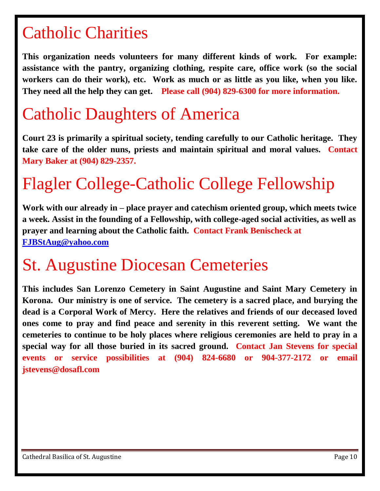### Catholic Charities

**This organization needs volunteers for many different kinds of work. For example: assistance with the pantry, organizing clothing, respite care, office work (so the social workers can do their work), etc. Work as much or as little as you like, when you like. They need all the help they can get. Please call (904) 829-6300 for more information.**

## Catholic Daughters of America

**Court 23 is primarily a spiritual society, tending carefully to our Catholic heritage. They take care of the older nuns, priests and maintain spiritual and moral values. Contact Mary Baker at (904) 829-2357.**

# Flagler College-Catholic College Fellowship

**Work with our already in – place prayer and catechism oriented group, which meets twice a week. Assist in the founding of a Fellowship, with college-aged social activities, as well as prayer and learning about the Catholic faith. Contact Frank Benischeck at [FJBStAug@yahoo.com](mailto:FJBStAug@yahoo.com)**

#### St. Augustine Diocesan Cemeteries

**This includes San Lorenzo Cemetery in Saint Augustine and Saint Mary Cemetery in Korona. Our ministry is one of service. The cemetery is a sacred place, and burying the dead is a Corporal Work of Mercy. Here the relatives and friends of our deceased loved ones come to pray and find peace and serenity in this reverent setting. We want the cemeteries to continue to be holy places where religious ceremonies are held to pray in a special way for all those buried in its sacred ground. Contact Jan Stevens for special events or service possibilities at (904) 824-6680 or 904-377-2172 or email jstevens@dosafl.com**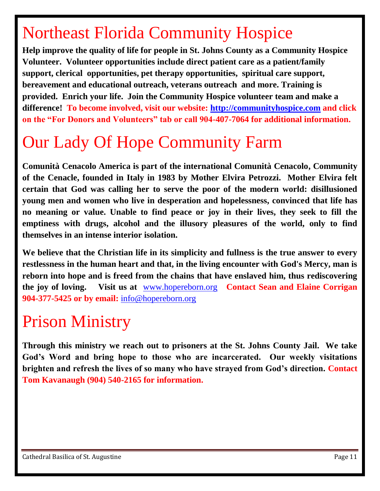# Northeast Florida Community Hospice

**Help improve the quality of life for people in St. Johns County as a Community Hospice Volunteer. Volunteer opportunities include direct patient care as a patient/family support, clerical opportunities, pet therapy opportunities, spiritual care support, bereavement and educational outreach, veterans outreach and more. Training is provided. Enrich your life. Join the Community Hospice volunteer team and make a difference! To become involved, visit our website: [http://communityhospice.com](http://communityhospice.com/) and click on the "For Donors and Volunteers" tab or call 904-407-7064 for additional information.** 

# Our Lady Of Hope Community Farm

**Comunità Cenacolo America is part of the international Comunità Cenacolo, Community of the Cenacle, founded in Italy in 1983 by Mother Elvira Petrozzi. Mother Elvira felt certain that God was calling her to serve the poor of the modern world: disillusioned young men and women who live in desperation and hopelessness, convinced that life has no meaning or value. Unable to find peace or joy in their lives, they seek to fill the emptiness with drugs, alcohol and the illusory pleasures of the world, only to find themselves in an intense interior isolation.**

**We believe that the Christian life in its simplicity and fullness is the true answer to every restlessness in the human heart and that, in the living encounter with God's Mercy, man is reborn into hope and is freed from the chains that have enslaved him, thus rediscovering the joy of loving. Visit us at** [www.hopereborn.org](http://www.hopereborn.org/) **Contact Sean and Elaine Corrigan 904-377-5425 or by email:** [info@hopereborn.org](mailto:info@hopereborn.org) 

#### Prison Ministry

**Through this ministry we reach out to prisoners at the St. Johns County Jail. We take God's Word and bring hope to those who are incarcerated. Our weekly visitations brighten and refresh the lives of so many who have strayed from God's direction. Contact Tom Kavanaugh (904) 540-2165 for information.**